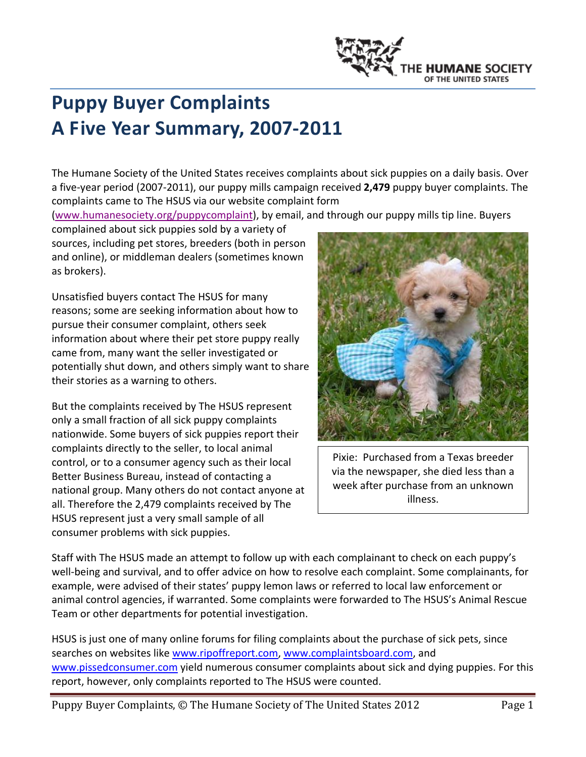

# **Puppy Buyer Complaints A Five Year Summary, 2007‐2011**

The Humane Society of the United States receives complaints about sick puppies on a daily basis. Over a five‐year period (2007‐2011), our puppy mills campaign received **2,479** puppy buyer complaints. The complaints came to The HSUS via our website complaint form

(www.humanesociety.org/puppycomplaint), by email, and through our puppy mills tip line. Buyers

complained about sick puppies sold by a variety of sources, including pet stores, breeders (both in person and online), or middleman dealers (sometimes known as brokers).

Unsatisfied buyers contact The HSUS for many reasons; some are seeking information about how to pursue their consumer complaint, others seek information about where their pet store puppy really came from, many want the seller investigated or potentially shut down, and others simply want to share their stories as a warning to others.

But the complaints received by The HSUS represent only a small fraction of all sick puppy complaints nationwide. Some buyers of sick puppies report their complaints directly to the seller, to local animal control, or to a consumer agency such as their local Better Business Bureau, instead of contacting a national group. Many others do not contact anyone at all. Therefore the 2,479 complaints received by The HSUS represent just a very small sample of all consumer problems with sick puppies.



Pixie: Purchased from a Texas breeder via the newspaper, she died less than a week after purchase from an unknown illness.

Staff with The HSUS made an attempt to follow up with each complainant to check on each puppy's well-being and survival, and to offer advice on how to resolve each complaint. Some complainants, for example, were advised of their states' puppy lemon laws or referred to local law enforcement or animal control agencies, if warranted. Some complaints were forwarded to The HSUS's Animal Rescue Team or other departments for potential investigation.

HSUS is just one of many online forums for filing complaints about the purchase of sick pets, since searches on websites like www.ripoffreport.com, www.complaintsboard.com, and www.pissedconsumer.com yield numerous consumer complaints about sick and dying puppies. For this report, however, only complaints reported to The HSUS were counted.

Puppy Buyer Complaints, © The Humane Society of The United States 2012 Page 1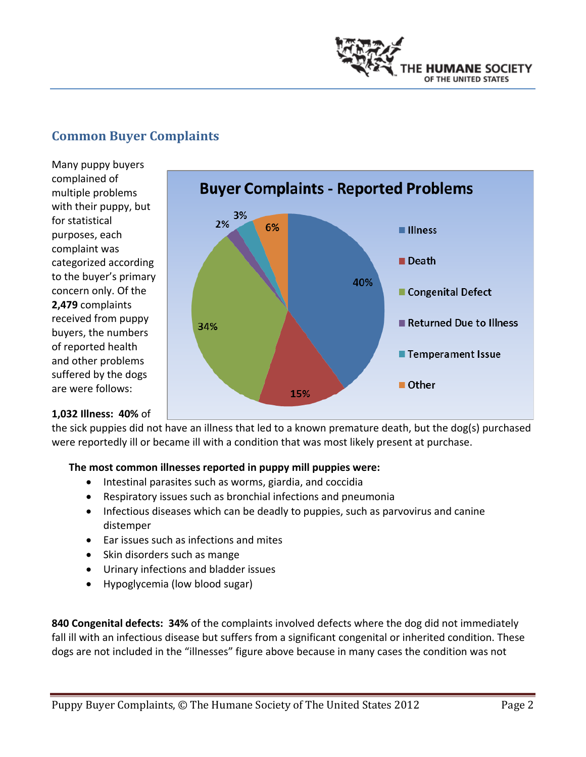

## **Common Buyer Complaints**

Many puppy buyers complained of multiple problems with their puppy, but for statistical purposes, each complaint was categorized according to the buyer's primary concern only. Of the **2,479** complaints received from puppy buyers, the numbers of reported health and other problems suffered by the dogs are were follows:



#### **1,032 Illness: 40%** of

the sick puppies did not have an illness that led to a known premature death, but the dog(s) purchased were reportedly ill or became ill with a condition that was most likely present at purchase.

#### **The most common illnesses reported in puppy mill puppies were:**

- Intestinal parasites such as worms, giardia, and coccidia
- Respiratory issues such as bronchial infections and pneumonia
- Infectious diseases which can be deadly to puppies, such as parvovirus and canine distemper
- Ear issues such as infections and mites
- Skin disorders such as mange
- Urinary infections and bladder issues
- Hypoglycemia (low blood sugar)

**840 Congenital defects: 34%** of the complaints involved defects where the dog did not immediately fall ill with an infectious disease but suffers from a significant congenital or inherited condition. These dogs are not included in the "illnesses" figure above because in many cases the condition was not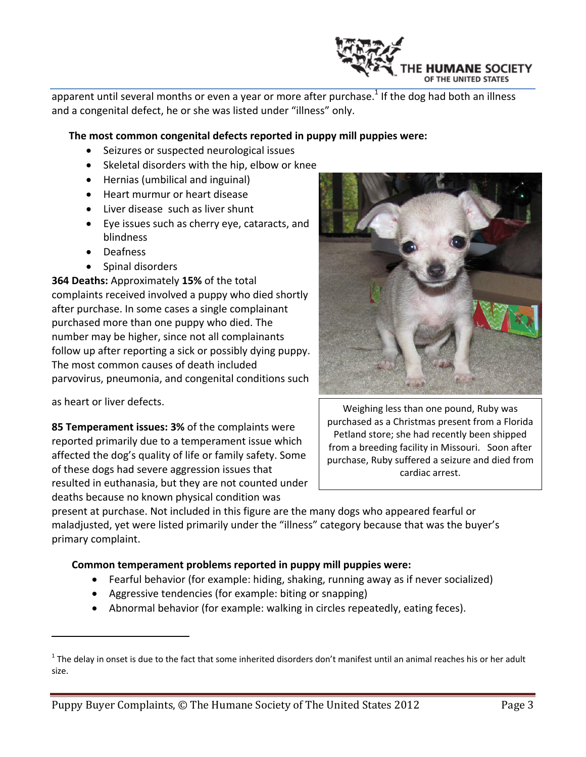

apparent until several months or even a year or more after purchase.<sup>1</sup> If the dog had both an illness and a congenital defect, he or she was listed under "illness" only.

#### **The most common congenital defects reported in puppy mill puppies were:**

- Seizures or suspected neurological issues
- Skeletal disorders with the hip, elbow or knee
- Hernias (umbilical and inguinal)
- Heart murmur or heart disease
- Liver disease such as liver shunt
- Eye issues such as cherry eye, cataracts, and blindness
- Deafness
- Spinal disorders

**364 Deaths:** Approximately **15%** of the total complaints received involved a puppy who died shortly after purchase. In some cases a single complainant purchased more than one puppy who died. The number may be higher, since not all complainants follow up after reporting a sick or possibly dying puppy. The most common causes of death included parvovirus, pneumonia, and congenital conditions such

as heart or liver defects.

**85 Temperament issues: 3%** of the complaints were reported primarily due to a temperament issue which affected the dog's quality of life or family safety. Some of these dogs had severe aggression issues that resulted in euthanasia, but they are not counted under deaths because no known physical condition was



Weighing less than one pound, Ruby was purchased as a Christmas present from a Florida Petland store; she had recently been shipped from a breeding facility in Missouri. Soon after purchase, Ruby suffered a seizure and died from cardiac arrest.

present at purchase. Not included in this figure are the many dogs who appeared fearful or maladjusted, yet were listed primarily under the "illness" category because that was the buyer's primary complaint.

#### **Common temperament problems reported in puppy mill puppies were:**

- Fearful behavior (for example: hiding, shaking, running away as if never socialized)
- Aggressive tendencies (for example: biting or snapping)
- Abnormal behavior (for example: walking in circles repeatedly, eating feces).

 $1$  The delay in onset is due to the fact that some inherited disorders don't manifest until an animal reaches his or her adult size.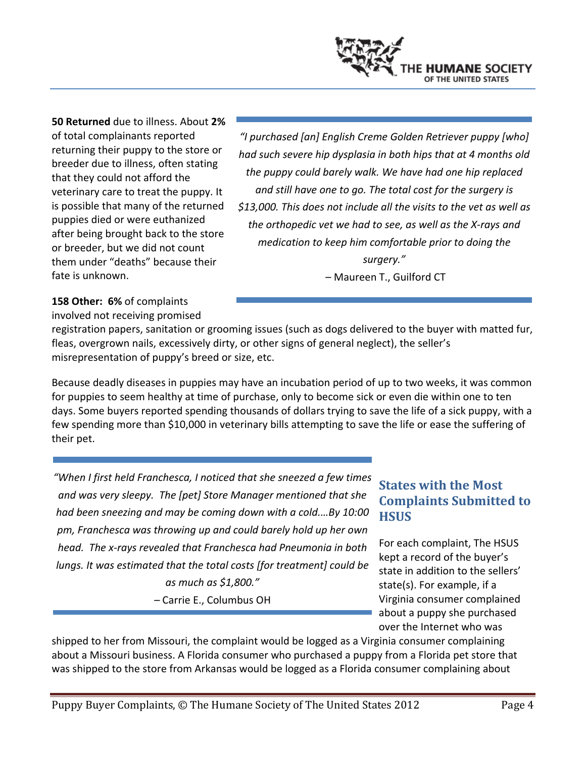**50 Returned** due to illness. About **2%** of total complainants reported returning their puppy to the store or breeder due to illness, often stating that they could not afford the veterinary care to treat the puppy. It is possible that many of the returned puppies died or were euthanized after being brought back to the store or breeder, but we did not count them under "deaths" because their fate is unknown.

*"I purchased [an] English Creme Golden Retriever puppy [who] had such severe hip dysplasia in both hips that at 4 months old the puppy could barely walk. We have had one hip replaced and still have one to go. The total cost for the surgery is \$13,000. This does not include all the visits to the vet as well as the orthopedic vet we had to see, as well as the X‐rays and medication to keep him comfortable prior to doing the surgery."*

– Maureen T., Guilford CT

**158 Other: 6%** of complaints involved not receiving promised

registration papers, sanitation or grooming issues (such as dogs delivered to the buyer with matted fur, fleas, overgrown nails, excessively dirty, or other signs of general neglect), the seller's misrepresentation of puppy's breed or size, etc.

Because deadly diseases in puppies may have an incubation period of up to two weeks, it was common for puppies to seem healthy at time of purchase, only to become sick or even die within one to ten days. Some buyers reported spending thousands of dollars trying to save the life of a sick puppy, with a few spending more than \$10,000 in veterinary bills attempting to save the life or ease the suffering of their pet.

*"When I first held Franchesca, I noticed that she sneezed a few times and was very sleepy. The [pet] Store Manager mentioned that she had been sneezing and may be coming down with a cold.…By 10:00 pm, Franchesca was throwing up and could barely hold up her own head. The x‐rays revealed that Franchesca had Pneumonia in both lungs. It was estimated that the total costs [for treatment] could be as much as \$1,800."* 

*–* Carrie E., Columbus OH

## **States with the Most Complaints Submitted to HSUS**

For each complaint, The HSUS kept a record of the buyer's state in addition to the sellers' state(s). For example, if a Virginia consumer complained about a puppy she purchased over the Internet who was

shipped to her from Missouri, the complaint would be logged as a Virginia consumer complaining about a Missouri business. A Florida consumer who purchased a puppy from a Florida pet store that was shipped to the store from Arkansas would be logged as a Florida consumer complaining about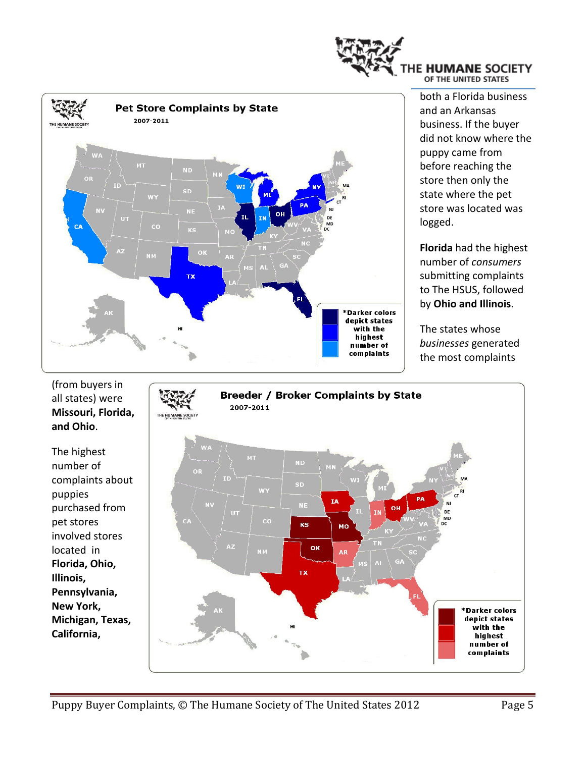



both a Florida business and an Arkansas business. If the buyer did not know where the puppy came from before reaching the store then only the state where the pet store was located was logged.

**Florida** had the highest number of *consumers* submitting complaints to The HSUS, followed by **Ohio and Illinois**.

The states whose *businesses* generated the most complaints

(from buyers in **Breeder / Broker Complaints by State** all states) were 2007-2011 **Missouri, Florida, and Ohio**. The highest МT number of  $\Omega$ complaints about sb WY puppies ΙĀ .<br>Ne purchased from ūπ DE<br>MD pet stores  $_{\rm CO}$  $KS$ мо involved stores ok located in **AR Florida, Ohio,** ТX **Illinois, Pennsylvania, New York,** \*Darker colors depict states **Michigan, Texas,** with the **California,**highest number of complaints

Puppy Buyer Complaints, © The Humane Society of The United States 2012 Page 5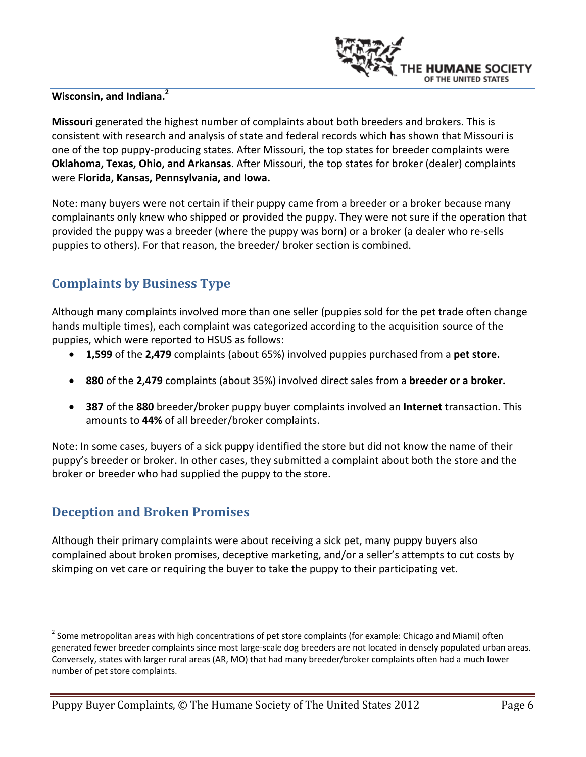

### **Wisconsin, and Indiana.2**

**Missouri** generated the highest number of complaints about both breeders and brokers. This is consistent with research and analysis of state and federal records which has shown that Missouri is one of the top puppy‐producing states. After Missouri, the top states for breeder complaints were **Oklahoma, Texas, Ohio, and Arkansas**. After Missouri, the top states for broker (dealer) complaints were **Florida, Kansas, Pennsylvania, and Iowa.** 

Note: many buyers were not certain if their puppy came from a breeder or a broker because many complainants only knew who shipped or provided the puppy. They were not sure if the operation that provided the puppy was a breeder (where the puppy was born) or a broker (a dealer who re‐sells puppies to others). For that reason, the breeder/ broker section is combined.

## **Complaints by Business Type**

Although many complaints involved more than one seller (puppies sold for the pet trade often change hands multiple times), each complaint was categorized according to the acquisition source of the puppies, which were reported to HSUS as follows:

- **1,599** of the **2,479** complaints (about 65%) involved puppies purchased from a **pet store.**
- **880** of the **2,479** complaints (about 35%) involved direct sales from a **breeder or a broker.**
- **387** of the **880** breeder/broker puppy buyer complaints involved an **Internet** transaction. This amounts to **44%** of all breeder/broker complaints.

Note: In some cases, buyers of a sick puppy identified the store but did not know the name of their puppy's breeder or broker. In other cases, they submitted a complaint about both the store and the broker or breeder who had supplied the puppy to the store.

### **Deception and Broken Promises**

Although their primary complaints were about receiving a sick pet, many puppy buyers also complained about broken promises, deceptive marketing, and/or a seller's attempts to cut costs by skimping on vet care or requiring the buyer to take the puppy to their participating vet.

Puppy Buyer Complaints, © The Humane Society of The United States 2012 Page 6

<sup>&</sup>lt;sup>2</sup> Some metropolitan areas with high concentrations of pet store complaints (for example: Chicago and Miami) often generated fewer breeder complaints since most large-scale dog breeders are not located in densely populated urban areas. Conversely, states with larger rural areas (AR, MO) that had many breeder/broker complaints often had a much lower number of pet store complaints.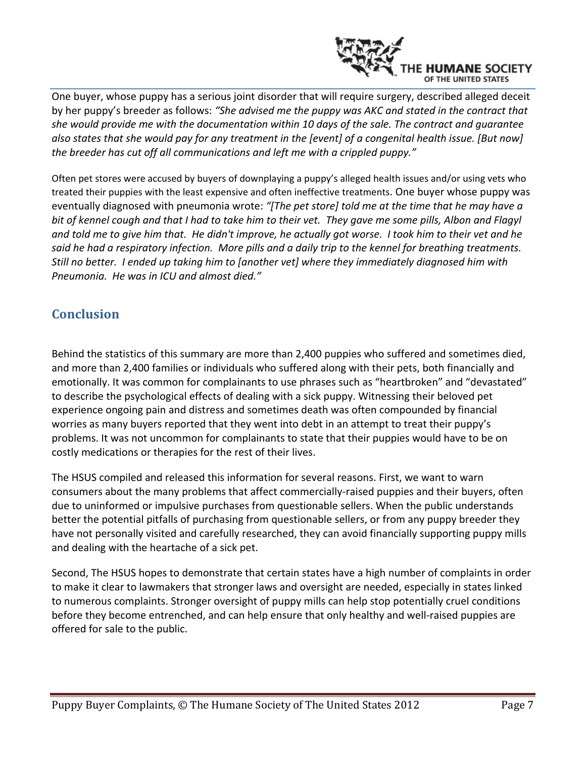

One buyer, whose puppy has a serious joint disorder that will require surgery, described alleged deceit by her puppy's breeder as follows: *"She advised me the puppy was AKC and stated in the contract that she would provide me with the documentation within 10 days of the sale. The contract and guarantee* also states that she would pay for any treatment in the [event] of a congenital health issue. [But now] *the breeder has cut off all communications and left me with a crippled puppy."*

Often pet stores were accused by buyers of downplaying a puppy's alleged health issues and/or using vets who treated their puppies with the least expensive and often ineffective treatments. One buyer whose puppy was eventually diagnosed with pneumonia wrote: *"[The pet store] told me at the time that he may have a* bit of kennel cough and that I had to take him to their vet. They gave me some pills, Albon and Flagyl and told me to give him that. He didn't improve, he actually got worse. I took him to their vet and he said he had a respiratory infection. More pills and a daily trip to the kennel for breathing treatments. *Still no better. I ended up taking him to [another vet] where they immediately diagnosed him with Pneumonia. He was in ICU and almost died."*

## **Conclusion**

Behind the statistics of this summary are more than 2,400 puppies who suffered and sometimes died, and more than 2,400 families or individuals who suffered along with their pets, both financially and emotionally. It was common for complainants to use phrases such as "heartbroken" and "devastated" to describe the psychological effects of dealing with a sick puppy. Witnessing their beloved pet experience ongoing pain and distress and sometimes death was often compounded by financial worries as many buyers reported that they went into debt in an attempt to treat their puppy's problems. It was not uncommon for complainants to state that their puppies would have to be on costly medications or therapies for the rest of their lives.

The HSUS compiled and released this information for several reasons. First, we want to warn consumers about the many problems that affect commercially‐raised puppies and their buyers, often due to uninformed or impulsive purchases from questionable sellers. When the public understands better the potential pitfalls of purchasing from questionable sellers, or from any puppy breeder they have not personally visited and carefully researched, they can avoid financially supporting puppy mills and dealing with the heartache of a sick pet.

Second, The HSUS hopes to demonstrate that certain states have a high number of complaints in order to make it clear to lawmakers that stronger laws and oversight are needed, especially in states linked to numerous complaints. Stronger oversight of puppy mills can help stop potentially cruel conditions before they become entrenched, and can help ensure that only healthy and well‐raised puppies are offered for sale to the public.